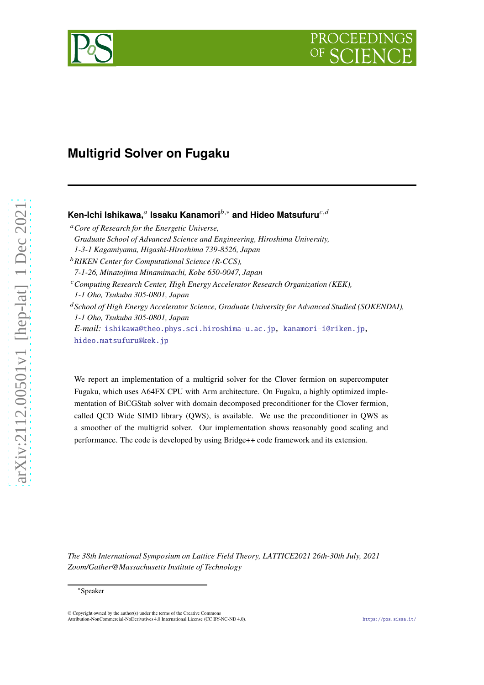# DCEEDIN



## **Multigrid Solver on Fugaku**

### Ken-Ichi Ishikawa,<sup>⊿</sup> Issaku Kanamori<sup>b,</sup>∗ and Hideo Matsufuru<sup>c,d</sup>

<sup>𝑎</sup>*Core of Research for the Energetic Universe,*

- *Graduate School of Advanced Science and Engineering, Hiroshima University,*
- *1-3-1 Kagamiyama, Higashi-Hiroshima 739-8526, Japan*
- <sup>b</sup> RIKEN Center for Computational Science (R-CCS),

*7-1-26, Minatojima Minamimachi, Kobe 650-0047, Japan*

<sup>𝑐</sup>*Computing Research Center, High Energy Accelerator Research Organization (KEK), 1-1 Oho, Tsukuba 305-0801, Japan*

<sup>d</sup> School of High Energy Accelerator Science, Graduate University for Advanced Studied (SOKENDAI), *1-1 Oho, Tsukuba 305-0801, Japan E-mail:* [ishikawa@theo.phys.sci.hiroshima-u.ac.jp,](mailto:ishikawa@theo.phys.sci.hiroshima-u.ac.jp) [kanamori-i@riken.jp,](mailto:kanamori-i@riken.jp)

[hideo.matsufuru@kek.jp](mailto:hideo.matsufuru@kek.jp)

We report an implementation of a multigrid solver for the Clover fermion on supercomputer Fugaku, which uses A64FX CPU with Arm architecture. On Fugaku, a highly optimized implementation of BiCGStab solver with domain decomposed preconditioner for the Clover fermion, called QCD Wide SIMD library (QWS), is available. We use the preconditioner in QWS as a smoother of the multigrid solver. Our implementation shows reasonably good scaling and performance. The code is developed by using Bridge++ code framework and its extension.

*The 38th International Symposium on Lattice Field Theory, LATTICE2021 26th-30th July, 2021 Zoom/Gather@Massachusetts Institute of Technology*

 $arXiv:2112.00501v1$  [hep-lat] 1 Dec 2021

<sup>∗</sup>Speaker

<sup>©</sup> Copyright owned by the author(s) under the terms of the Creative Commons Attribution-NonCommercial-NoDerivatives 4.0 International License (CC BY-NC-ND 4.0). <https://pos.sissa.it/>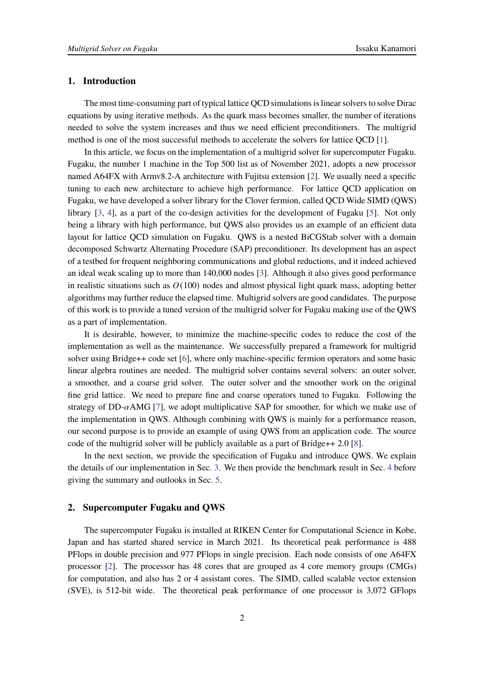#### **1. Introduction**

The most time-consuming part of typical lattice QCD simulations is linear solvers to solve Dirac equations by using iterative methods. As the quark mass becomes smaller, the number of iterations needed to solve the system increases and thus we need efficient preconditioners. The multigrid method is one of the most successful methods to accelerate the solvers for lattice QCD [\[1\]](#page-7-0).

In this article, we focus on the implementation of a multigrid solver for supercomputer Fugaku. Fugaku, the number 1 machine in the Top 500 list as of November 2021, adopts a new processor named A64FX with Armv8.2-A architecture with Fujitsu extension [\[2\]](#page-7-1). We usually need a specific tuning to each new architecture to achieve high performance. For lattice QCD application on Fugaku, we have developed a solver library for the Clover fermion, called QCD Wide SIMD (QWS) library [\[3](#page-7-2), [4](#page-7-3)], as a part of the co-design activities for the development of Fugaku [\[5\]](#page-7-4). Not only being a library with high performance, but QWS also provides us an example of an efficient data layout for lattice QCD simulation on Fugaku. QWS is a nested BiCGStab solver with a domain decomposed Schwartz Alternating Procedure (SAP) preconditioner. Its development has an aspect of a testbed for frequent neighboring communications and global reductions, and it indeed achieved an ideal weak scaling up to more than 140,000 nodes [\[3](#page-7-2)]. Although it also gives good performance in realistic situations such as  $O(100)$  nodes and almost physical light quark mass, adopting better algorithms may further reduce the elapsed time. Multigrid solvers are good candidates. The purpose of this work is to provide a tuned version of the multigrid solver for Fugaku making use of the QWS as a part of implementation.

It is desirable, however, to minimize the machine-specific codes to reduce the cost of the implementation as well as the maintenance. We successfully prepared a framework for multigrid solver using Bridge++ code set [\[6](#page-7-5)], where only machine-specific fermion operators and some basic linear algebra routines are needed. The multigrid solver contains several solvers: an outer solver, a smoother, and a coarse grid solver. The outer solver and the smoother work on the original fine grid lattice. We need to prepare fine and coarse operators tuned to Fugaku. Following the strategy of DD- $\alpha$ AMG [\[7](#page-7-6)], we adopt multiplicative SAP for smoother, for which we make use of the implementation in QWS. Although combining with QWS is mainly for a performance reason, our second purpose is to provide an example of using QWS from an application code. The source code of the multigrid solver will be publicly available as a part of Bridge++ 2.0 [\[8\]](#page-7-7).

In the next section, we provide the specification of Fugaku and introduce QWS. We explain the details of our implementation in Sec. [3.](#page-2-0) We then provide the benchmark result in Sec. [4](#page-4-0) before giving the summary and outlooks in Sec. [5.](#page-5-0)

#### **2. Supercomputer Fugaku and QWS**

The supercomputer Fugaku is installed at RIKEN Center for Computational Science in Kobe, Japan and has started shared service in March 2021. Its theoretical peak performance is 488 PFlops in double precision and 977 PFlops in single precision. Each node consists of one A64FX processor [\[2](#page-7-1)]. The processor has 48 cores that are grouped as 4 core memory groups (CMGs) for computation, and also has 2 or 4 assistant cores. The SIMD, called scalable vector extension (SVE), is 512-bit wide. The theoretical peak performance of one processor is 3,072 GFlops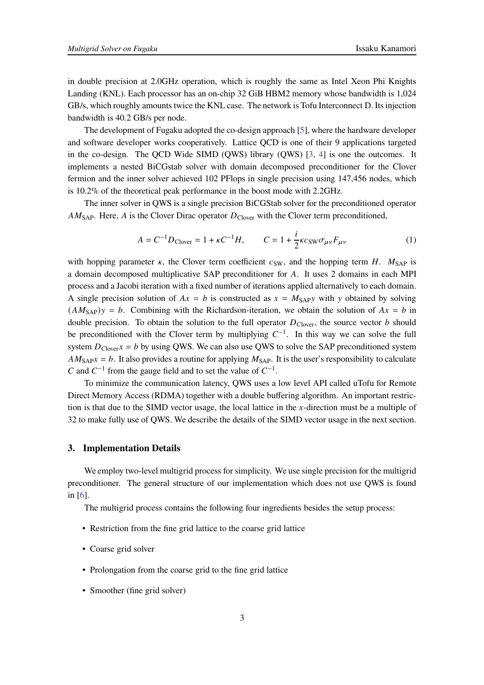in double precision at 2.0GHz operation, which is roughly the same as Intel Xeon Phi Knights Landing (KNL). Each processor has an on-chip 32 GiB HBM2 memory whose bandwidth is 1,024 GB/s, which roughly amounts twice the KNL case. The network is Tofu Interconnect D. Its injection bandwidth is 40.2 GB/s per node.

The development of Fugaku adopted the co-design approach [\[5](#page-7-4)], where the hardware developer and software developer works cooperatively. Lattice QCD is one of their 9 applications targeted in the co-design. The QCD Wide SIMD (QWS) library (QWS) [\[3,](#page-7-2) [4](#page-7-3)] is one the outcomes. It implements a nested BiCGstab solver with domain decomposed preconditioner for the Clover fermion and the inner solver achieved 102 PFlops in single precision using 147,456 nodes, which is 10.2% of the theoretical peak performance in the boost mode with 2.2GHz.

The inner solver in QWS is a single precision BiCGStab solver for the preconditioned operator  $AM<sub>SAP</sub>$ . Here, A is the Clover Dirac operator  $D<sub>Clover</sub>$  with the Clover term preconditioned,

$$
A = C^{-1}D_{\text{Clover}} = 1 + \kappa C^{-1}H, \qquad C = 1 + \frac{i}{2}\kappa c_{\text{SW}}\sigma_{\mu\nu}F_{\mu\nu}
$$
 (1)

with hopping parameter  $\kappa$ , the Clover term coefficient  $c_{SW}$ , and the hopping term H.  $M_{SAP}$  is a domain decomposed multiplicative SAP preconditioner for A. It uses 2 domains in each MPI process and a Jacobi iteration with a fixed number of iterations applied alternatively to each domain. A single precision solution of  $Ax = b$  is constructed as  $x = M_{SAP}y$  with y obtained by solving  $(AM<sub>SAP</sub>)y = b$ . Combining with the Richardson-iteration, we obtain the solution of  $Ax = b$  in double precision. To obtain the solution to the full operator  $D_{\text{Clover}}$ , the source vector b should be preconditioned with the Clover term by multiplying  $C^{-1}$ . In this way we can solve the full system  $D_{\text{Cover}}x = b$  by using QWS. We can also use QWS to solve the SAP preconditioned system  $AM_{\text{SAP}}x = b$ . It also provides a routine for applying  $M_{\text{SAP}}$ . It is the user's responsibility to calculate C and  $C^{-1}$  from the gauge field and to set the value of  $C^{-1}$ .

To minimize the communication latency, QWS uses a low level API called uTofu for Remote Direct Memory Access (RDMA) together with a double buffering algorithm. An important restriction is that due to the SIMD vector usage, the local lattice in the x-direction must be a multiple of 32 to make fully use of QWS. We describe the details of the SIMD vector usage in the next section.

#### <span id="page-2-0"></span>**3. Implementation Details**

We employ two-level multigrid process for simplicity. We use single precision for the multigrid preconditioner. The general structure of our implementation which does not use QWS is found in [\[6\]](#page-7-5).

The multigrid process contains the following four ingredients besides the setup process:

- Restriction from the fine grid lattice to the coarse grid lattice
- Coarse grid solver
- Prolongation from the coarse grid to the fine grid lattice
- Smoother (fine grid solver)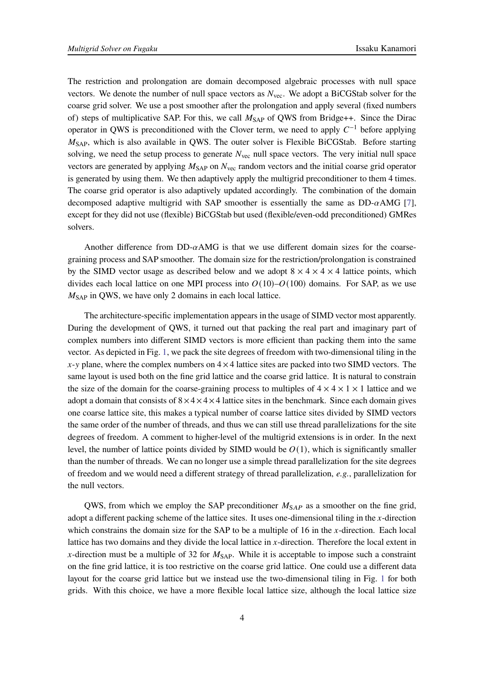The restriction and prolongation are domain decomposed algebraic processes with null space vectors. We denote the number of null space vectors as  $N_{\text{vec}}$ . We adopt a BiCGStab solver for the coarse grid solver. We use a post smoother after the prolongation and apply several (fixed numbers of) steps of multiplicative SAP. For this, we call  $M_{SAP}$  of QWS from Bridge++. Since the Dirac operator in QWS is preconditioned with the Clover term, we need to apply  $C^{-1}$  before applying  $M<sub>SAP</sub>$ , which is also available in QWS. The outer solver is Flexible BiCGStab. Before starting solving, we need the setup process to generate  $N_{\text{vec}}$  null space vectors. The very initial null space vectors are generated by applying  $M<sub>SAP</sub>$  on  $N<sub>vec</sub>$  random vectors and the initial coarse grid operator is generated by using them. We then adaptively apply the multigrid preconditioner to them 4 times. The coarse grid operator is also adaptively updated accordingly. The combination of the domain decomposed adaptive multigrid with SAP smoother is essentially the same as DD- $\alpha$ AMG [\[7](#page-7-6)], except for they did not use (flexible) BiCGStab but used (flexible/even-odd preconditioned) GMRes solvers.

Another difference from  $DD-\alpha$ AMG is that we use different domain sizes for the coarsegraining process and SAP smoother. The domain size for the restriction/prolongation is constrained by the SIMD vector usage as described below and we adopt  $8 \times 4 \times 4 \times 4$  lattice points, which divides each local lattice on one MPI process into  $O(10)-O(100)$  domains. For SAP, as we use  $M<sub>SAP</sub>$  in QWS, we have only 2 domains in each local lattice.

The architecture-specific implementation appears in the usage of SIMD vector most apparently. During the development of QWS, it turned out that packing the real part and imaginary part of complex numbers into different SIMD vectors is more efficient than packing them into the same vector. As depicted in Fig. [1,](#page-4-1) we pack the site degrees of freedom with two-dimensional tiling in the  $x-y$  plane, where the complex numbers on  $4 \times 4$  lattice sites are packed into two SIMD vectors. The same layout is used both on the fine grid lattice and the coarse grid lattice. It is natural to constrain the size of the domain for the coarse-graining process to multiples of  $4 \times 4 \times 1 \times 1$  lattice and we adopt a domain that consists of  $8 \times 4 \times 4 \times 4$  lattice sites in the benchmark. Since each domain gives one coarse lattice site, this makes a typical number of coarse lattice sites divided by SIMD vectors the same order of the number of threads, and thus we can still use thread parallelizations for the site degrees of freedom. A comment to higher-level of the multigrid extensions is in order. In the next level, the number of lattice points divided by SIMD would be  $O(1)$ , which is significantly smaller than the number of threads. We can no longer use a simple thread parallelization for the site degrees of freedom and we would need a different strategy of thread parallelization, *e.g.*, parallelization for the null vectors.

QWS, from which we employ the SAP preconditioner  $M_{SAP}$  as a smoother on the fine grid, adopt a different packing scheme of the lattice sites. It uses one-dimensional tiling in the  $x$ -direction which constrains the domain size for the SAP to be a multiple of 16 in the  $x$ -direction. Each local lattice has two domains and they divide the local lattice in x-direction. Therefore the local extent in x-direction must be a multiple of 32 for  $M_{\text{SAP}}$ . While it is acceptable to impose such a constraint on the fine grid lattice, it is too restrictive on the coarse grid lattice. One could use a different data layout for the coarse grid lattice but we instead use the two-dimensional tiling in Fig. [1](#page-4-1) for both grids. With this choice, we have a more flexible local lattice size, although the local lattice size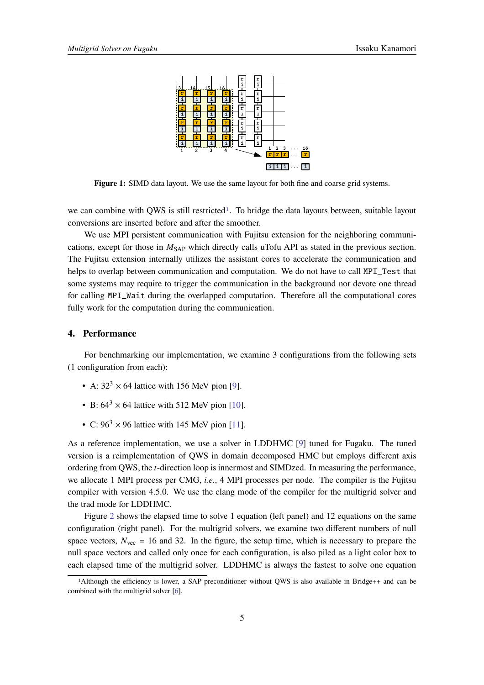<span id="page-4-1"></span>

Figure 1: SIMD data layout. We use the same layout for both fine and coarse grid systems.

we can combine with QWS is still restricted<sup>[1](#page-4-2)</sup>. To bridge the data layouts between, suitable layout conversions are inserted before and after the smoother.

We use MPI persistent communication with Fujitsu extension for the neighboring communications, except for those in  $M_{\text{SAP}}$  which directly calls uTofu API as stated in the previous section. The Fujitsu extension internally utilizes the assistant cores to accelerate the communication and helps to overlap between communication and computation. We do not have to call MPI\_Test that some systems may require to trigger the communication in the background nor devote one thread for calling MPI\_Wait during the overlapped computation. Therefore all the computational cores fully work for the computation during the communication.

#### <span id="page-4-0"></span>**4. Performance**

For benchmarking our implementation, we examine 3 configurations from the following sets (1 configuration from each):

- A:  $32<sup>3</sup> \times 64$  lattice with 156 MeV pion [\[9](#page-7-8)].
- B:  $64^3 \times 64$  lattice with 512 MeV pion [\[10\]](#page-7-9).
- C:  $96<sup>3</sup> \times 96$  lattice with 145 MeV pion [\[11\]](#page-7-10).

As a reference implementation, we use a solver in LDDHMC [\[9\]](#page-7-8) tuned for Fugaku. The tuned version is a reimplementation of QWS in domain decomposed HMC but employs different axis ordering from QWS, the *t*-direction loop is innermost and SIMDzed. In measuring the performance, we allocate 1 MPI process per CMG, *i.e.*, 4 MPI processes per node. The compiler is the Fujitsu compiler with version 4.5.0. We use the clang mode of the compiler for the multigrid solver and the trad mode for LDDHMC.

Figure [2](#page-5-1) shows the elapsed time to solve 1 equation (left panel) and 12 equations on the same configuration (right panel). For the multigrid solvers, we examine two different numbers of null space vectors,  $N_{\text{vec}} = 16$  and 32. In the figure, the setup time, which is necessary to prepare the null space vectors and called only once for each configuration, is also piled as a light color box to each elapsed time of the multigrid solver. LDDHMC is always the fastest to solve one equation

<span id="page-4-2"></span><sup>1</sup>Although the efficiency is lower, a SAP preconditioner without QWS is also available in Bridge++ and can be combined with the multigrid solver [\[6](#page-7-5)].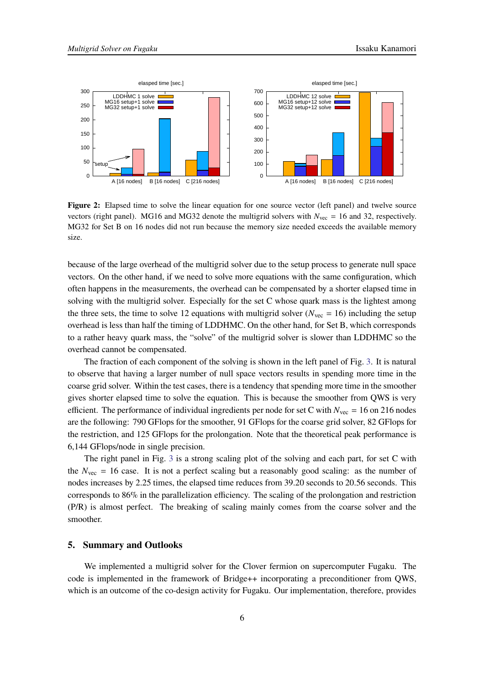<span id="page-5-1"></span>

**Figure 2:** Elapsed time to solve the linear equation for one source vector (left panel) and twelve source vectors (right panel). MG16 and MG32 denote the multigrid solvers with  $N_{\text{vec}} = 16$  and 32, respectively. MG32 for Set B on 16 nodes did not run because the memory size needed exceeds the available memory size.

because of the large overhead of the multigrid solver due to the setup process to generate null space vectors. On the other hand, if we need to solve more equations with the same configuration, which often happens in the measurements, the overhead can be compensated by a shorter elapsed time in solving with the multigrid solver. Especially for the set C whose quark mass is the lightest among the three sets, the time to solve 12 equations with multigrid solver ( $N_{\text{vec}} = 16$ ) including the setup overhead is less than half the timing of LDDHMC. On the other hand, for Set B, which corresponds to a rather heavy quark mass, the "solve" of the multigrid solver is slower than LDDHMC so the overhead cannot be compensated.

The fraction of each component of the solving is shown in the left panel of Fig. [3.](#page-6-0) It is natural to observe that having a larger number of null space vectors results in spending more time in the coarse grid solver. Within the test cases, there is a tendency that spending more time in the smoother gives shorter elapsed time to solve the equation. This is because the smoother from QWS is very efficient. The performance of individual ingredients per node for set C with  $N_{\text{vec}} = 16$  on 216 nodes are the following: 790 GFlops for the smoother, 91 GFlops for the coarse grid solver, 82 GFlops for the restriction, and 125 GFlops for the prolongation. Note that the theoretical peak performance is 6,144 GFlops/node in single precision.

The right panel in Fig. [3](#page-6-0) is a strong scaling plot of the solving and each part, for set C with the  $N_{\text{vec}} = 16$  case. It is not a perfect scaling but a reasonably good scaling: as the number of nodes increases by 2.25 times, the elapsed time reduces from 39.20 seconds to 20.56 seconds. This corresponds to 86% in the parallelization efficiency. The scaling of the prolongation and restriction (P/R) is almost perfect. The breaking of scaling mainly comes from the coarse solver and the smoother.

#### <span id="page-5-0"></span>**5. Summary and Outlooks**

We implemented a multigrid solver for the Clover fermion on supercomputer Fugaku. The code is implemented in the framework of Bridge++ incorporating a preconditioner from QWS, which is an outcome of the co-design activity for Fugaku. Our implementation, therefore, provides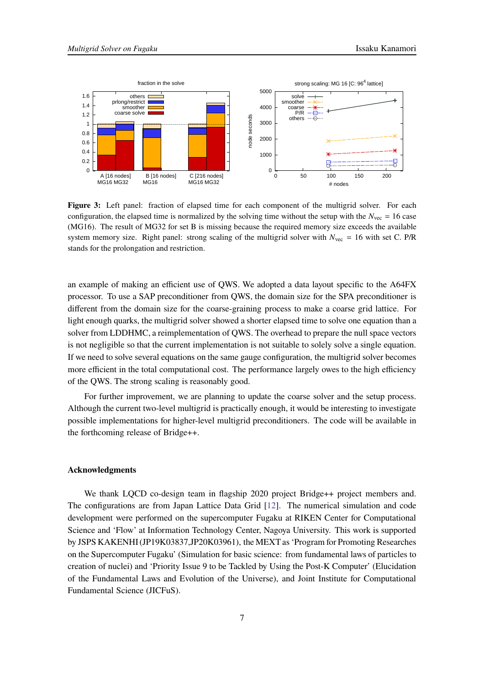<span id="page-6-0"></span>

**Figure 3:** Left panel: fraction of elapsed time for each component of the multigrid solver. For each configuration, the elapsed time is normalized by the solving time without the setup with the  $N_{\text{vec}} = 16$  case (MG16). The result of MG32 for set B is missing because the required memory size exceeds the available system memory size. Right panel: strong scaling of the multigrid solver with  $N_{\text{vec}} = 16$  with set C. P/R stands for the prolongation and restriction.

an example of making an efficient use of QWS. We adopted a data layout specific to the A64FX processor. To use a SAP preconditioner from QWS, the domain size for the SPA preconditioner is different from the domain size for the coarse-graining process to make a coarse grid lattice. For light enough quarks, the multigrid solver showed a shorter elapsed time to solve one equation than a solver from LDDHMC, a reimplementation of QWS. The overhead to prepare the null space vectors is not negligible so that the current implementation is not suitable to solely solve a single equation. If we need to solve several equations on the same gauge configuration, the multigrid solver becomes more efficient in the total computational cost. The performance largely owes to the high efficiency of the QWS. The strong scaling is reasonably good.

For further improvement, we are planning to update the coarse solver and the setup process. Although the current two-level multigrid is practically enough, it would be interesting to investigate possible implementations for higher-level multigrid preconditioners. The code will be available in the forthcoming release of Bridge++.

#### **Acknowledgments**

We thank LQCD co-design team in flagship 2020 project Bridge++ project members and. The configurations are from Japan Lattice Data Grid [\[12](#page-7-11)]. The numerical simulation and code development were performed on the supercomputer Fugaku at RIKEN Center for Computational Science and 'Flow' at Information Technology Center, Nagoya University. This work is supported by JSPS KAKENHI (JP19K03837,JP20K03961), the MEXT as 'Program for Promoting Researches on the Supercomputer Fugaku' (Simulation for basic science: from fundamental laws of particles to creation of nuclei) and 'Priority Issue 9 to be Tackled by Using the Post-K Computer' (Elucidation of the Fundamental Laws and Evolution of the Universe), and Joint Institute for Computational Fundamental Science (JICFuS).